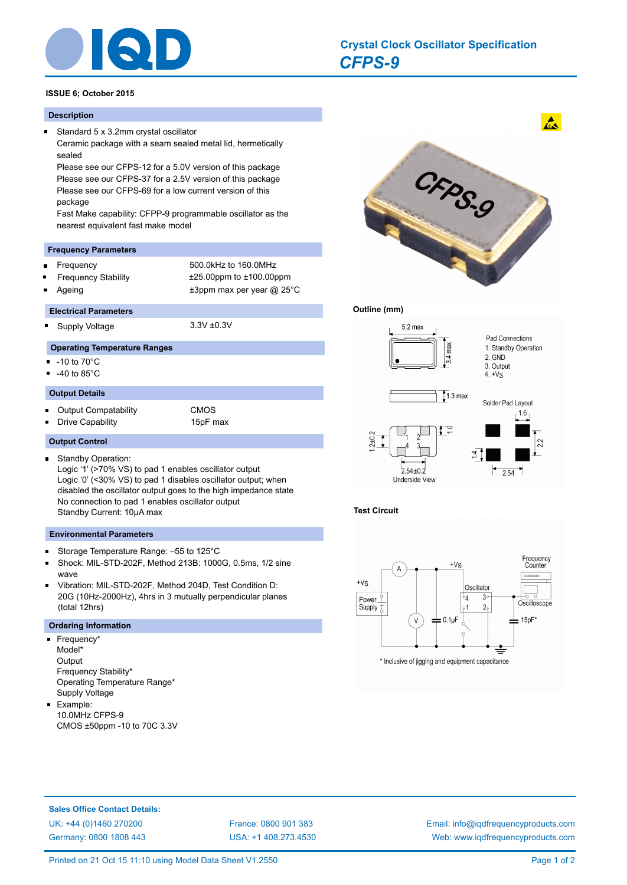

### **ISSUE 6; October 2015**

### **Description**

 $\blacksquare$ Standard 5 x 3.2mm crystal oscillator Ceramic package with a seam sealed metal lid, hermetically sealed

Please see our CFPS-12 for a 5.0V version of this package Please see our CFPS-37 for a 2.5V version of this package Please see our CFPS-69 for a low current version of this package

Fast Make capability: CFPP-9 programmable oscillator as the nearest equivalent fast make model

#### **Frequency Parameters**

- Frequency 500.0kHz to 160.0MHz
- Frequency Stability ±25.00ppm to ±100.00ppm
- 

Ageing  $\qquad \qquad \pm 3$ ppm max per year @ 25°C

### **Electrical Parameters**

 $\blacksquare$ 

Supply Voltage 3.3V ±0.3V

# **Operating Temperature Ranges**

- $\blacksquare$  $-10$  to  $70^{\circ}$ C
- -40 to 85°C  $\blacksquare$

 $\blacksquare$ 

### **Output Details**

 $\blacksquare$ Output Compatability CMOS

**Output Control**

Drive Capability 15pF max

- 
- Standby Operation: Logic '1' (>70% VS) to pad 1 enables oscillator output Logic '0' (<30% VS) to pad 1 disables oscillator output; when disabled the oscillator output goes to the high impedance state No connection to pad 1 enables oscillator output Standby Current: 10µA max

### **Environmental Parameters**

- Storage Temperature Range: –55 to 125°C  $\blacksquare$
- Shock: MIL-STD-202F, Method 213B: 1000G, 0.5ms, 1/2 sine wave
- Vibration: MIL-STD-202F, Method 204D, Test Condition D:  $\blacksquare$ 20G (10Hz-2000Hz), 4hrs in 3 mutually perpendicular planes (total 12hrs)

# **Ordering Information**

- Frequency\* Model\* **Output** Frequency Stability\* Operating Temperature Range\* Supply Voltage
- Example: 10.0MHz CFPS-9 CMOS ±50ppm -10 to 70C 3.3V



## **Outline (mm)**







**Sales Office Contact Details:** [UK: +44 \(0\)1460 270200](http://www.iqdfrequencyproducts.co.uk) [France: 0800 901 383](http://www.iqdfrequencyproducts.fr) [Germany: 0800 1808 443](http://www.iqdfrequencyproducts.de)

[USA: +1 408.273.4530](http://www.iqdfrequencyproducts.com)

[Email: info@iqdfrequencyproducts.com](mailto:info@iqdfrequencyproducts.com) [Web: www.iqdfrequencyproducts.com](http://www.iqdfrequencyproducts.com)